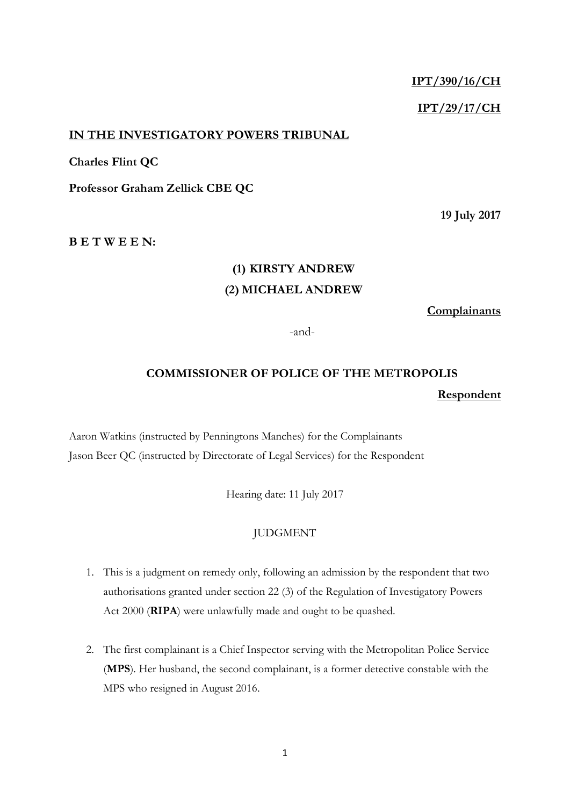# **IPT/390/16/CH**

# **IPT/29/17/CH**

## **IN THE INVESTIGATORY POWERS TRIBUNAL**

## **Charles Flint QC**

**Professor Graham Zellick CBE QC**

**19 July 2017**

**B E T W E E N:**

# **(1) KIRSTY ANDREW (2) MICHAEL ANDREW**

**Complainants**

-and-

# **COMMISSIONER OF POLICE OF THE METROPOLIS Respondent**

Aaron Watkins (instructed by Penningtons Manches) for the Complainants Jason Beer QC (instructed by Directorate of Legal Services) for the Respondent

Hearing date: 11 July 2017

### JUDGMENT

- 1. This is a judgment on remedy only, following an admission by the respondent that two authorisations granted under section 22 (3) of the Regulation of Investigatory Powers Act 2000 (**RIPA**) were unlawfully made and ought to be quashed.
- 2. The first complainant is a Chief Inspector serving with the Metropolitan Police Service (**MPS**). Her husband, the second complainant, is a former detective constable with the MPS who resigned in August 2016.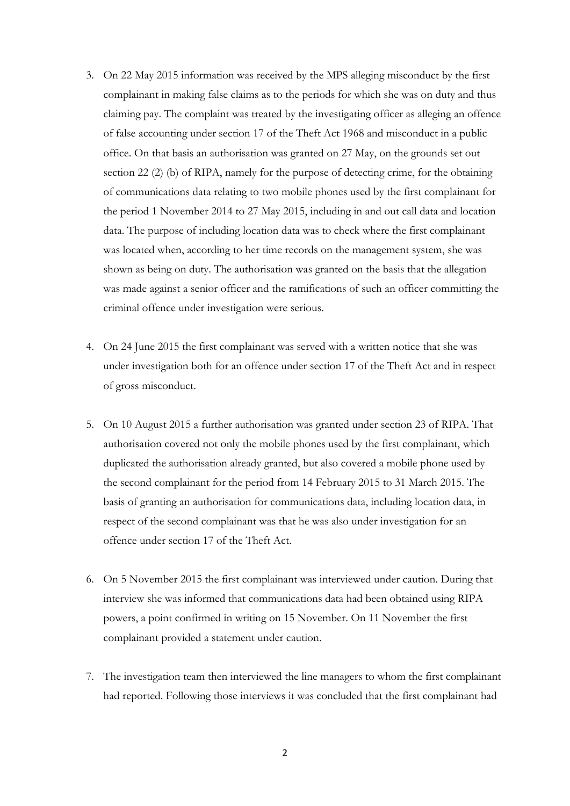- 3. On 22 May 2015 information was received by the MPS alleging misconduct by the first complainant in making false claims as to the periods for which she was on duty and thus claiming pay. The complaint was treated by the investigating officer as alleging an offence of false accounting under section 17 of the Theft Act 1968 and misconduct in a public office. On that basis an authorisation was granted on 27 May, on the grounds set out section 22 (2) (b) of RIPA, namely for the purpose of detecting crime, for the obtaining of communications data relating to two mobile phones used by the first complainant for the period 1 November 2014 to 27 May 2015, including in and out call data and location data. The purpose of including location data was to check where the first complainant was located when, according to her time records on the management system, she was shown as being on duty. The authorisation was granted on the basis that the allegation was made against a senior officer and the ramifications of such an officer committing the criminal offence under investigation were serious.
- 4. On 24 June 2015 the first complainant was served with a written notice that she was under investigation both for an offence under section 17 of the Theft Act and in respect of gross misconduct.
- 5. On 10 August 2015 a further authorisation was granted under section 23 of RIPA. That authorisation covered not only the mobile phones used by the first complainant, which duplicated the authorisation already granted, but also covered a mobile phone used by the second complainant for the period from 14 February 2015 to 31 March 2015. The basis of granting an authorisation for communications data, including location data, in respect of the second complainant was that he was also under investigation for an offence under section 17 of the Theft Act.
- 6. On 5 November 2015 the first complainant was interviewed under caution. During that interview she was informed that communications data had been obtained using RIPA powers, a point confirmed in writing on 15 November. On 11 November the first complainant provided a statement under caution.
- 7. The investigation team then interviewed the line managers to whom the first complainant had reported. Following those interviews it was concluded that the first complainant had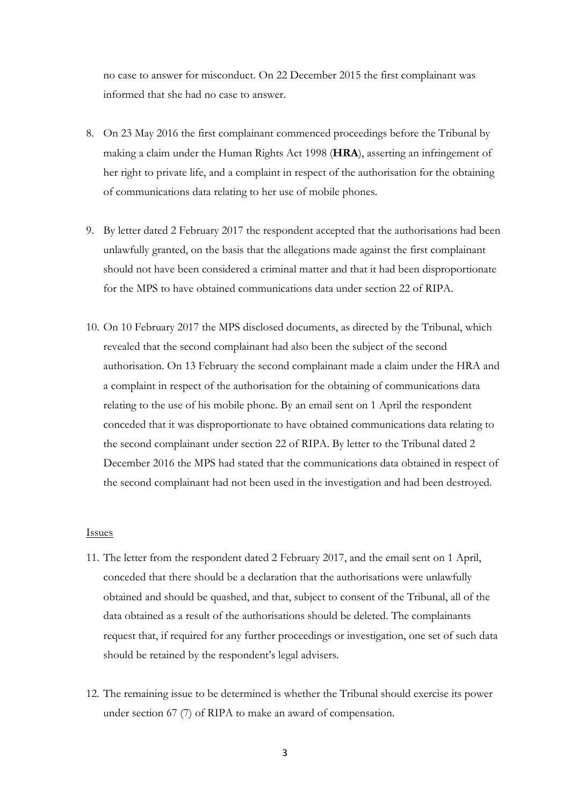no case to answer for misconduct. On 22 December 2015 the first complainant was informed that she had no case to answer.

- 8. On 23 May 2016 the first complainant commenced proceedings before the Tribunal by making a claim under the Human Rights Act 1998 (**HRA**), asserting an infringement of her right to private life, and a complaint in respect of the authorisation for the obtaining of communications data relating to her use of mobile phones.
- 9. By letter dated 2 February 2017 the respondent accepted that the authorisations had been unlawfully granted, on the basis that the allegations made against the first complainant should not have been considered a criminal matter and that it had been disproportionate for the MPS to have obtained communications data under section 22 of RIPA.
- 10. On 10 February 2017 the MPS disclosed documents, as directed by the Tribunal, which revealed that the second complainant had also been the subject of the second authorisation. On 13 February the second complainant made a claim under the HRA and a complaint in respect of the authorisation for the obtaining of communications data relating to the use of his mobile phone. By an email sent on 1 April the respondent conceded that it was disproportionate to have obtained communications data relating to the second complainant under section 22 of RIPA. By letter to the Tribunal dated 2 December 2016 the MPS had stated that the communications data obtained in respect of the second complainant had not been used in the investigation and had been destroyed.

### Issues

- 11. The letter from the respondent dated 2 February 2017, and the email sent on 1 April, conceded that there should be a declaration that the authorisations were unlawfully obtained and should be quashed, and that, subject to consent of the Tribunal, all of the data obtained as a result of the authorisations should be deleted. The complainants request that, if required for any further proceedings or investigation, one set of such data should be retained by the respondent's legal advisers.
- 12. The remaining issue to be determined is whether the Tribunal should exercise its power under section 67 (7) of RIPA to make an award of compensation.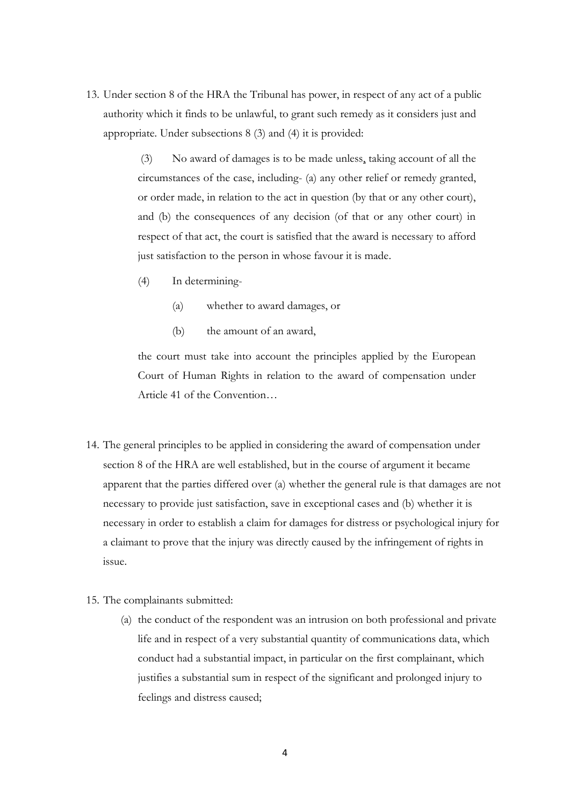13. Under section 8 of the HRA the Tribunal has power, in respect of any act of a public authority which it finds to be unlawful, to grant such remedy as it considers just and appropriate. Under subsections 8 (3) and (4) it is provided:

> (3) No award of damages is to be made unless, taking account of all the circumstances of the case, including- (a) any other relief or remedy granted, or order made, in relation to the act in question (by that or any other court), and (b) the consequences of any decision (of that or any other court) in respect of that act, the court is satisfied that the award is necessary to afford just satisfaction to the person in whose favour it is made.

- (4) In determining-
	- (a) whether to award damages, or
	- (b) the amount of an award,

the court must take into account the principles applied by the European Court of Human Rights in relation to the award of compensation under Article 41 of the Convention…

- 14. The general principles to be applied in considering the award of compensation under section 8 of the HRA are well established, but in the course of argument it became apparent that the parties differed over (a) whether the general rule is that damages are not necessary to provide just satisfaction, save in exceptional cases and (b) whether it is necessary in order to establish a claim for damages for distress or psychological injury for a claimant to prove that the injury was directly caused by the infringement of rights in issue.
- 15. The complainants submitted:
	- (a) the conduct of the respondent was an intrusion on both professional and private life and in respect of a very substantial quantity of communications data, which conduct had a substantial impact, in particular on the first complainant, which justifies a substantial sum in respect of the significant and prolonged injury to feelings and distress caused;

4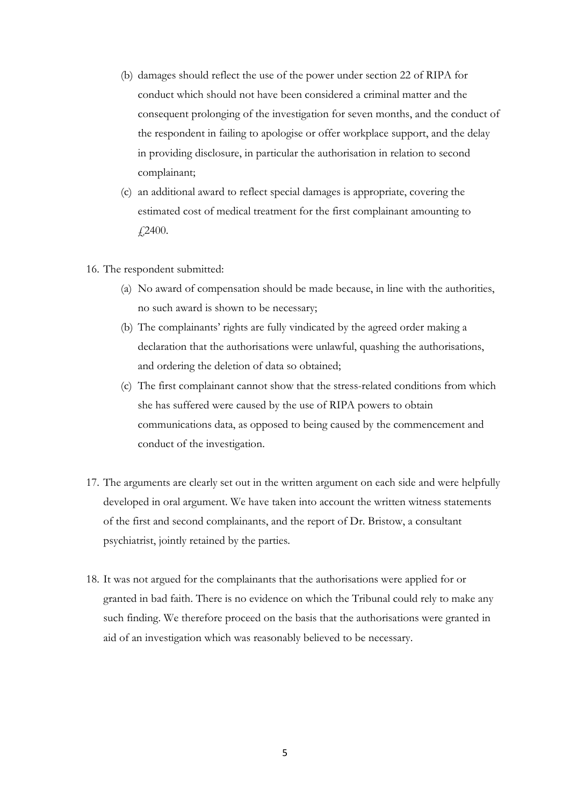- (b) damages should reflect the use of the power under section 22 of RIPA for conduct which should not have been considered a criminal matter and the consequent prolonging of the investigation for seven months, and the conduct of the respondent in failing to apologise or offer workplace support, and the delay in providing disclosure, in particular the authorisation in relation to second complainant;
- (c) an additional award to reflect special damages is appropriate, covering the estimated cost of medical treatment for the first complainant amounting to £2400.
- 16. The respondent submitted:
	- (a) No award of compensation should be made because, in line with the authorities, no such award is shown to be necessary;
	- (b) The complainants' rights are fully vindicated by the agreed order making a declaration that the authorisations were unlawful, quashing the authorisations, and ordering the deletion of data so obtained;
	- (c) The first complainant cannot show that the stress-related conditions from which she has suffered were caused by the use of RIPA powers to obtain communications data, as opposed to being caused by the commencement and conduct of the investigation.
- 17. The arguments are clearly set out in the written argument on each side and were helpfully developed in oral argument. We have taken into account the written witness statements of the first and second complainants, and the report of Dr. Bristow, a consultant psychiatrist, jointly retained by the parties.
- 18. It was not argued for the complainants that the authorisations were applied for or granted in bad faith. There is no evidence on which the Tribunal could rely to make any such finding. We therefore proceed on the basis that the authorisations were granted in aid of an investigation which was reasonably believed to be necessary.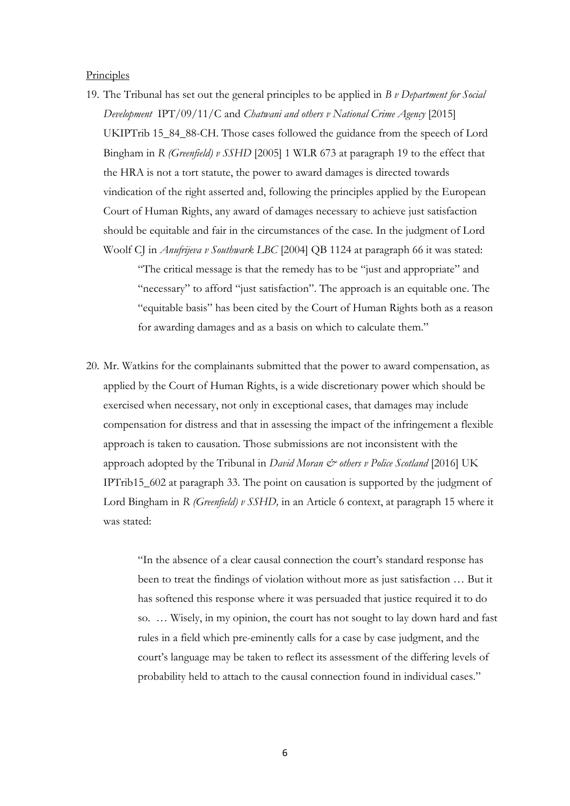#### **Principles**

19. The Tribunal has set out the general principles to be applied in *B v Department for Social Development* IPT/09/11/C and *Chatwani and others v National Crime Agency* [2015] UKIPTrib 15\_84\_88-CH. Those cases followed the guidance from the speech of Lord Bingham in *R (Greenfield) v SSHD* [2005] 1 WLR 673 at paragraph 19 to the effect that the HRA is not a tort statute, the power to award damages is directed towards vindication of the right asserted and, following the principles applied by the European Court of Human Rights, any award of damages necessary to achieve just satisfaction should be equitable and fair in the circumstances of the case. In the judgment of Lord Woolf CJ in *Anufrijeva v Southwark LBC* [2004] QB 1124 at paragraph 66 it was stated:

> "The critical message is that the remedy has to be "just and appropriate" and "necessary" to afford "just satisfaction". The approach is an equitable one. The "equitable basis" has been cited by the Court of Human Rights both as a reason for awarding damages and as a basis on which to calculate them."

20. Mr. Watkins for the complainants submitted that the power to award compensation, as applied by the Court of Human Rights, is a wide discretionary power which should be exercised when necessary, not only in exceptional cases, that damages may include compensation for distress and that in assessing the impact of the infringement a flexible approach is taken to causation. Those submissions are not inconsistent with the approach adopted by the Tribunal in *David Moran & others v Police Scotland* [2016] UK IPTrib15\_602 at paragraph 33. The point on causation is supported by the judgment of Lord Bingham in *R (Greenfield) v SSHD*, in an Article 6 context, at paragraph 15 where it was stated:

> "In the absence of a clear causal connection the court's standard response has been to treat the findings of violation without more as just satisfaction … But it has softened this response where it was persuaded that justice required it to do so. … Wisely, in my opinion, the court has not sought to lay down hard and fast rules in a field which pre-eminently calls for a case by case judgment, and the court's language may be taken to reflect its assessment of the differing levels of probability held to attach to the causal connection found in individual cases."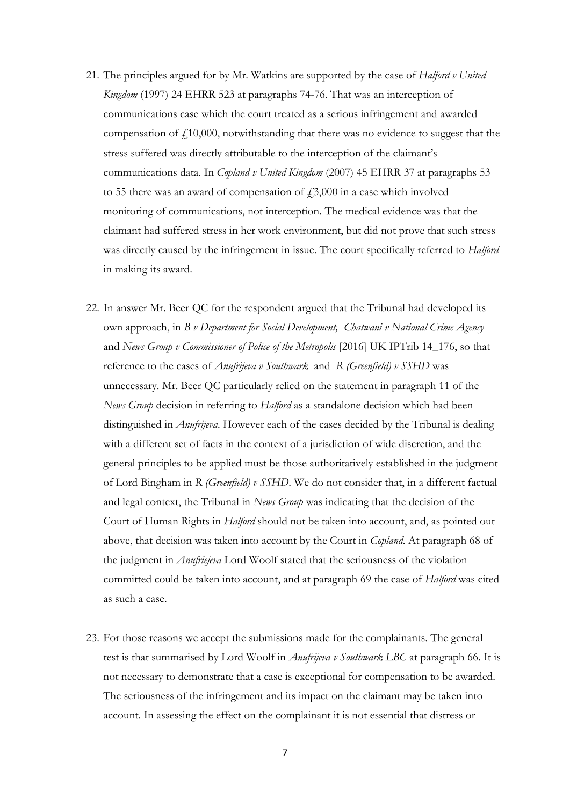- 21. The principles argued for by Mr. Watkins are supported by the case of *Halford v United Kingdom* (1997) 24 EHRR 523 at paragraphs 74-76. That was an interception of communications case which the court treated as a serious infringement and awarded compensation of  $f<sub>10</sub>000$ , notwithstanding that there was no evidence to suggest that the stress suffered was directly attributable to the interception of the claimant's communications data. In *Copland v United Kingdom* (2007) 45 EHRR 37 at paragraphs 53 to 55 there was an award of compensation of  $\text{\emph{f}}3,000$  in a case which involved monitoring of communications, not interception. The medical evidence was that the claimant had suffered stress in her work environment, but did not prove that such stress was directly caused by the infringement in issue. The court specifically referred to *Halford* in making its award.
- 22. In answer Mr. Beer QC for the respondent argued that the Tribunal had developed its own approach, in *B v Department for Social Development, Chatwani v National Crime Agency*  and *News Group v Commissioner of Police of the Metropolis* [2016] UK IPTrib 14\_176, so that reference to the cases of *Anufrijeva v Southwark* and *R (Greenfield) v SSHD* was unnecessary. Mr. Beer QC particularly relied on the statement in paragraph 11 of the *News Group* decision in referring to *Halford* as a standalone decision which had been distinguished in *Anufrijeva*. However each of the cases decided by the Tribunal is dealing with a different set of facts in the context of a jurisdiction of wide discretion, and the general principles to be applied must be those authoritatively established in the judgment of Lord Bingham in *R (Greenfield) v SSHD*. We do not consider that, in a different factual and legal context, the Tribunal in *News Group* was indicating that the decision of the Court of Human Rights in *Halford* should not be taken into account, and, as pointed out above, that decision was taken into account by the Court in *Copland*. At paragraph 68 of the judgment in *Anufriejeva* Lord Woolf stated that the seriousness of the violation committed could be taken into account, and at paragraph 69 the case of *Halford* was cited as such a case.
- 23. For those reasons we accept the submissions made for the complainants. The general test is that summarised by Lord Woolf in *Anufrijeva v Southwark LBC* at paragraph 66. It is not necessary to demonstrate that a case is exceptional for compensation to be awarded. The seriousness of the infringement and its impact on the claimant may be taken into account. In assessing the effect on the complainant it is not essential that distress or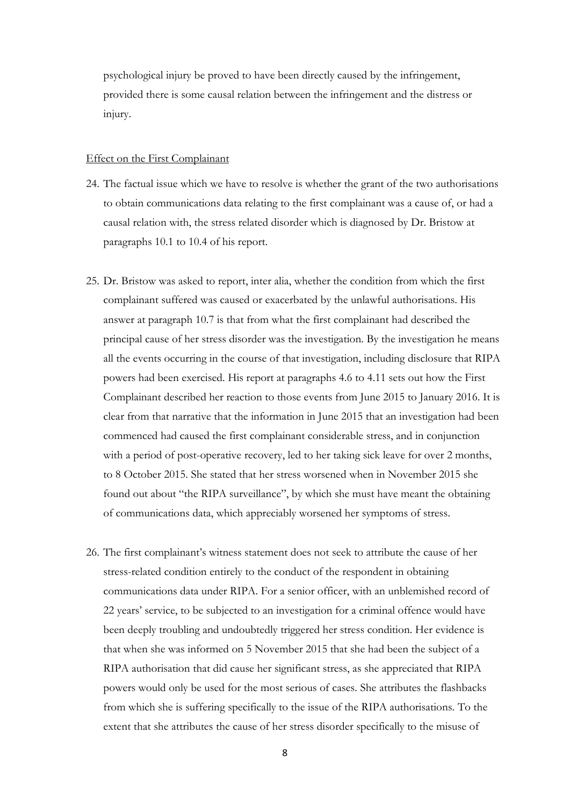psychological injury be proved to have been directly caused by the infringement, provided there is some causal relation between the infringement and the distress or injury.

#### Effect on the First Complainant

- 24. The factual issue which we have to resolve is whether the grant of the two authorisations to obtain communications data relating to the first complainant was a cause of, or had a causal relation with, the stress related disorder which is diagnosed by Dr. Bristow at paragraphs 10.1 to 10.4 of his report.
- 25. Dr. Bristow was asked to report, inter alia, whether the condition from which the first complainant suffered was caused or exacerbated by the unlawful authorisations. His answer at paragraph 10.7 is that from what the first complainant had described the principal cause of her stress disorder was the investigation. By the investigation he means all the events occurring in the course of that investigation, including disclosure that RIPA powers had been exercised. His report at paragraphs 4.6 to 4.11 sets out how the First Complainant described her reaction to those events from June 2015 to January 2016. It is clear from that narrative that the information in June 2015 that an investigation had been commenced had caused the first complainant considerable stress, and in conjunction with a period of post-operative recovery, led to her taking sick leave for over 2 months, to 8 October 2015. She stated that her stress worsened when in November 2015 she found out about "the RIPA surveillance", by which she must have meant the obtaining of communications data, which appreciably worsened her symptoms of stress.
- 26. The first complainant's witness statement does not seek to attribute the cause of her stress-related condition entirely to the conduct of the respondent in obtaining communications data under RIPA. For a senior officer, with an unblemished record of 22 years' service, to be subjected to an investigation for a criminal offence would have been deeply troubling and undoubtedly triggered her stress condition. Her evidence is that when she was informed on 5 November 2015 that she had been the subject of a RIPA authorisation that did cause her significant stress, as she appreciated that RIPA powers would only be used for the most serious of cases. She attributes the flashbacks from which she is suffering specifically to the issue of the RIPA authorisations. To the extent that she attributes the cause of her stress disorder specifically to the misuse of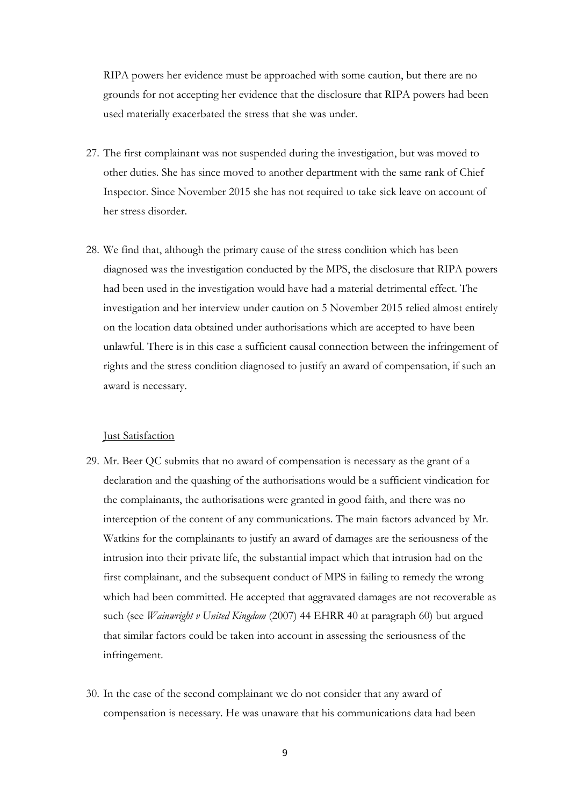RIPA powers her evidence must be approached with some caution, but there are no grounds for not accepting her evidence that the disclosure that RIPA powers had been used materially exacerbated the stress that she was under.

- 27. The first complainant was not suspended during the investigation, but was moved to other duties. She has since moved to another department with the same rank of Chief Inspector. Since November 2015 she has not required to take sick leave on account of her stress disorder.
- 28. We find that, although the primary cause of the stress condition which has been diagnosed was the investigation conducted by the MPS, the disclosure that RIPA powers had been used in the investigation would have had a material detrimental effect. The investigation and her interview under caution on 5 November 2015 relied almost entirely on the location data obtained under authorisations which are accepted to have been unlawful. There is in this case a sufficient causal connection between the infringement of rights and the stress condition diagnosed to justify an award of compensation, if such an award is necessary.

#### Just Satisfaction

- 29. Mr. Beer QC submits that no award of compensation is necessary as the grant of a declaration and the quashing of the authorisations would be a sufficient vindication for the complainants, the authorisations were granted in good faith, and there was no interception of the content of any communications. The main factors advanced by Mr. Watkins for the complainants to justify an award of damages are the seriousness of the intrusion into their private life, the substantial impact which that intrusion had on the first complainant, and the subsequent conduct of MPS in failing to remedy the wrong which had been committed. He accepted that aggravated damages are not recoverable as such (see *Wainwright v United Kingdom* (2007) 44 EHRR 40 at paragraph 60) but argued that similar factors could be taken into account in assessing the seriousness of the infringement.
- 30. In the case of the second complainant we do not consider that any award of compensation is necessary. He was unaware that his communications data had been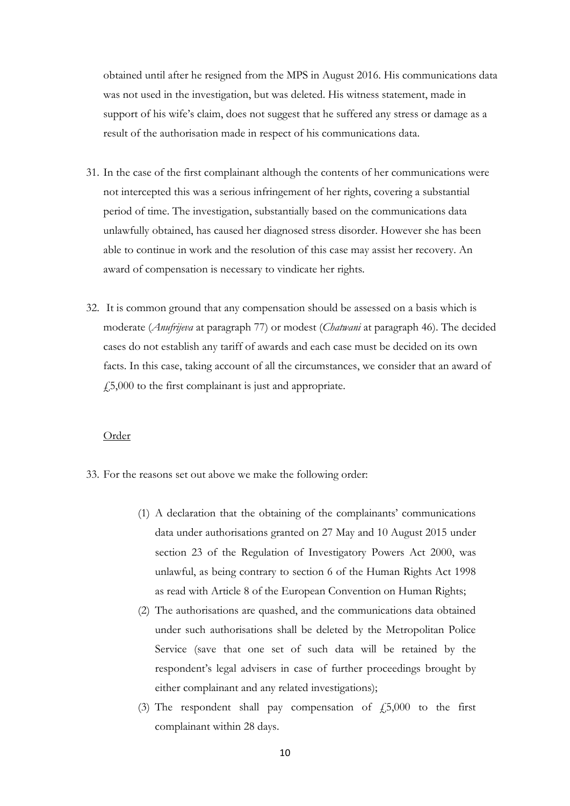obtained until after he resigned from the MPS in August 2016. His communications data was not used in the investigation, but was deleted. His witness statement, made in support of his wife's claim, does not suggest that he suffered any stress or damage as a result of the authorisation made in respect of his communications data.

- 31. In the case of the first complainant although the contents of her communications were not intercepted this was a serious infringement of her rights, covering a substantial period of time. The investigation, substantially based on the communications data unlawfully obtained, has caused her diagnosed stress disorder. However she has been able to continue in work and the resolution of this case may assist her recovery. An award of compensation is necessary to vindicate her rights.
- 32. It is common ground that any compensation should be assessed on a basis which is moderate (*Anufrijeva* at paragraph 77) or modest (*Chatwani* at paragraph 46). The decided cases do not establish any tariff of awards and each case must be decided on its own facts. In this case, taking account of all the circumstances, we consider that an award of  $\angle 5,000$  to the first complainant is just and appropriate.

#### Order

- 33. For the reasons set out above we make the following order:
	- (1) A declaration that the obtaining of the complainants' communications data under authorisations granted on 27 May and 10 August 2015 under section 23 of the Regulation of Investigatory Powers Act 2000, was unlawful, as being contrary to section 6 of the Human Rights Act 1998 as read with Article 8 of the European Convention on Human Rights;
	- (2) The authorisations are quashed, and the communications data obtained under such authorisations shall be deleted by the Metropolitan Police Service (save that one set of such data will be retained by the respondent's legal advisers in case of further proceedings brought by either complainant and any related investigations);
	- (3) The respondent shall pay compensation of  $\dot{\tau}$  5,000 to the first complainant within 28 days.